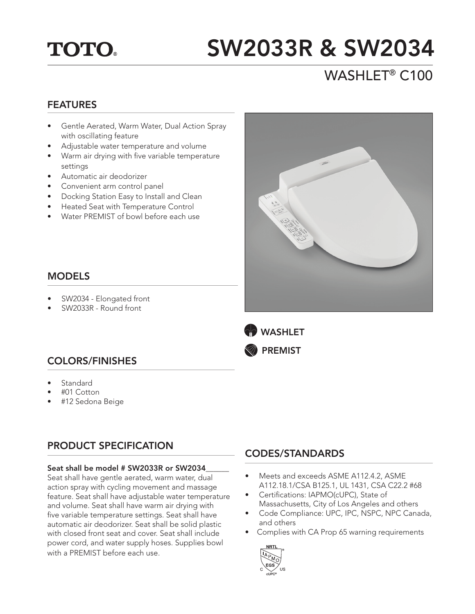## **TOTO.**

# SW2033R & SW2034

## WASHLET® C100

### FEATURES

- Gentle Aerated, Warm Water, Dual Action Spray with oscillating feature
- Adjustable water temperature and volume
- Warm air drying with five variable temperature settings
- Automatic air deodorizer
- Convenient arm control panel
- Docking Station Easy to Install and Clean
- Heated Seat with Temperature Control
- Water PREMIST of bowl before each use



- SW2034 Elongated front
- SW2033R Round front





## COLORS/FINISHES

- **Standard**
- #01 Cotton
- #12 Sedona Beige

## PRODUCT SPECIFICATION

#### Seat shall be model # SW2033R or SW2034

Seat shall have gentle aerated, warm water, dual action spray with cycling movement and massage feature. Seat shall have adjustable water temperature and volume. Seat shall have warm air drying with five variable temperature settings. Seat shall have automatic air deodorizer. Seat shall be solid plastic with closed front seat and cover. Seat shall include power cord, and water supply hoses. Supplies bowl with a PREMIST before each use.

## CODES/STANDARDS

- Meets and exceeds ASME A112.4.2, ASME A112.18.1/CSA B125.1, UL 1431, CSA C22.2 #68
- Certifications: IAPMO(cUPC), State of Massachusetts, City of Los Angeles and others
- Code Compliance: UPC, IPC, NSPC, NPC Canada, and others
- Complies with CA Prop 65 warning requirements